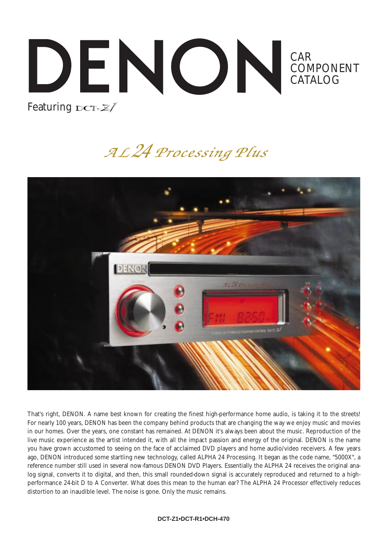## CAR COMPONENT CATALOG Featuring DCT- $\mathbb{Z}/$

# AL 24 Processing Plus



That's right, DENON. A name best known for creating the finest high-performance home audio, is taking it to the streets! For nearly 100 years, DENON has been the company behind products that are changing the way we enjoy music and movies in our homes. Over the years, one constant has remained. At DENON it's always been about the music. Reproduction of the live music experience as the artist intended it, with all the impact passion and energy of the original. DENON is the name you have grown accustomed to seeing on the face of acclaimed DVD players and home audio/video receivers. A few years ago, DENON introduced some startling new technology, called ALPHA 24 Processing. It began as the code name, "5000X", a reference number still used in several now-famous DENON DVD Players. Essentially the ALPHA 24 receives the original analog signal, converts it to digital, and then, this small rounded-down signal is accurately reproduced and returned to a highperformance 24-bit D to A Converter. What does this mean to the human ear? The ALPHA 24 Processor effectively reduces distortion to an inaudible level. The noise is gone. Only the music remains.

#### **DCT-Z1•DCT-R1•DCH-470**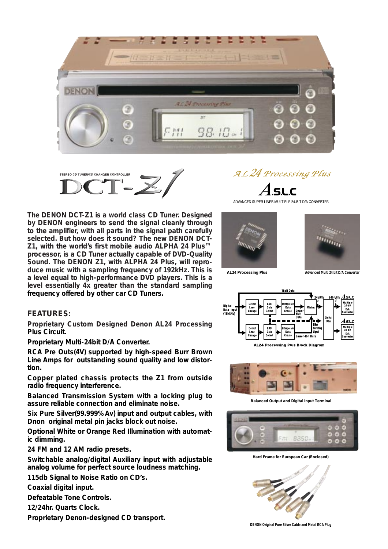



**The DENON DCT-Z1 is a world class CD Tuner. Designed by DENON engineers to send the signal cleanly through to the amplifier, with all parts in the signal path carefully selected. But how does it sound? The new DENON DCT-Z1, with the world's first mobile audio ALPHA 24 Plus™ processor, is a CD Tuner actually capable of DVD-Quality Sound. The DENON Z1, with ALPHA 24 Plus, will reproduce music with a sampling frequency of 192kHz. This is a level equal to high-performance DVD players. This is a level essentially 4x greater than the standard sampling frequency offered by other car CD Tuners.**

#### **FEATURES:**

**Proprietary Custom Designed Denon AL24 Processing Plus Circuit.** 

**Proprietary Multi-24bit D/A Converter.**

**RCA Pre Outs(4V) supported by high-speed Burr Brown Line Amps for outstanding sound quality and low distortion.**

**Copper plated chassis protects the Z1 from outside radio frequency interference.**

**Balanced Transmission System with a locking plug to assure reliable connection and eliminate noise.**

**Six Pure Silver(99.999%Av) input and output cables, with Dnon original metal pin jacks block out noise.**

**Optional White or Orange Red Illumination with automatic dimming.** 

**24 FM and 12 AM radio presets.**

**Switchable analog/digital Auxiliary input with adjustable analog volume for perfect source loudness matching.**

**115db Signal to Noise Ratio on CD's.**

**Coaxial digital input.**

**Defeatable Tone Controls.**

**12/24hr. Quarts Clock.**

**Proprietary Denon-designed CD transport.**

## AL 24 Processing Plus  $A$ .s.u.c

ADVANCED SUPER LINER MULTIPLE 24-BIT D/A CONVERTER





**AL24 Processing Plus Advanced Multi 24 bit D/A Converter**





**Balanced Output and Digital Input Terminal**



**Hard Frame for European Car (Enclosed)**



**DENON Original Pure Silver Cable and Metal RCA Plug**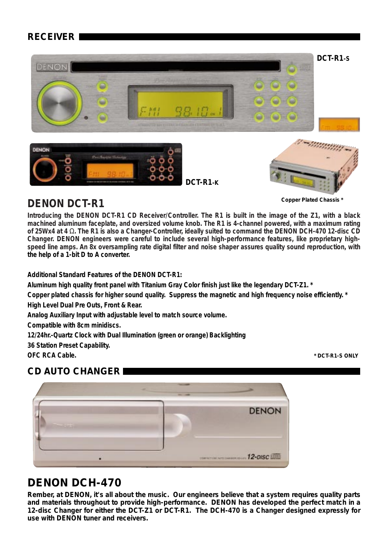### **RECEIVER**



### **DENON DCT-R1**

**Introducing the DENON DCT-R1 CD Receiver/Controller. The R1 is built in the image of the Z1, with a black machined aluminum faceplate, and oversized volume knob. The R1 is 4-channel powered, with a maximum rating of 25Wx4 at 4** Ω**. The R1 is also a Changer-Controller, ideally suited to command the DENON DCH-470 12-disc CD Changer. DENON engineers were careful to include several high-performance features, like proprietary highspeed line amps. An 8x oversampling rate digital filter and noise shaper assures quality sound reproduction, with the help of a 1-bit D to A converter.** 

**Additional Standard Features of the DENON DCT-R1:**

**Aluminum high quality front panel with Titanium Gray Color finish just like the legendary DCT-Z1. \***

**Copper plated chassis for higher sound quality. Suppress the magnetic and high frequency noise efficiently. \* High Level Dual Pre Outs, Front & Rear.**

**Analog Auxiliary Input with adjustable level to match source volume.**

**Compatible with 8cm minidiscs.**

**12/24hr.-Quartz Clock with Dual Illumination (green or orange) Backlighting**

**36 Station Preset Capability.**

**OFC RCA Cable.**

### **CD AUTO CHANGER**



### **DENON DCH-470**

**Rember, at DENON, it's all about the music. Our engineers believe that a system requires quality parts and materials throughout to provide high-performance. DENON has developed the perfect match in a 12-disc Changer for either the DCT-Z1 or DCT-R1. The DCH-470 is a Changer designed expressly for use with DENON tuner and receivers.**

**\* DCT-R1-S ONLY**

**Copper Plated Chassis \***